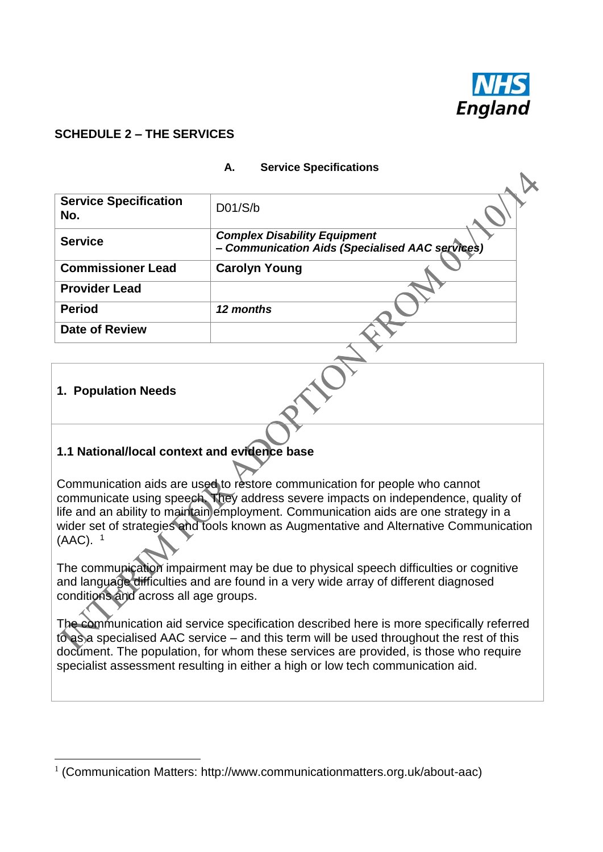

### **SCHEDULE 2 – THE SERVICES**

| <b>Service Specification</b><br>No. | D01/S/b                                                                                |
|-------------------------------------|----------------------------------------------------------------------------------------|
| <b>Service</b>                      | <b>Complex Disability Equipment</b><br>- Communication Aids (Specialised AAC services) |
| <b>Commissioner Lead</b>            | <b>Carolyn Young</b>                                                                   |
| <b>Provider Lead</b>                |                                                                                        |
| <b>Period</b>                       | 12 months                                                                              |
| <b>Date of Review</b>               |                                                                                        |

#### **A. Service Specifications**

### **1. Population Needs**

1

### **1.1 National/local context and evidence base**

Communication aids are used to restore communication for people who cannot communicate using speech. They address severe impacts on independence, quality of life and an ability to maintain employment. Communication aids are one strategy in a wider set of strategies and tools known as Augmentative and Alternative Communication (AAC). 1

The communication impairment may be due to physical speech difficulties or cognitive and language difficulties and are found in a very wide array of different diagnosed conditions and across all age groups.

The communication aid service specification described here is more specifically referred to as a specialised AAC service – and this term will be used throughout the rest of this document. The population, for whom these services are provided, is those who require specialist assessment resulting in either a high or low tech communication aid.

<sup>&</sup>lt;sup>1</sup> (Communication Matters: [http://www.communicationmatters.org.uk/about-aac\)](http://www.communicationmatters.org.uk/about-aac)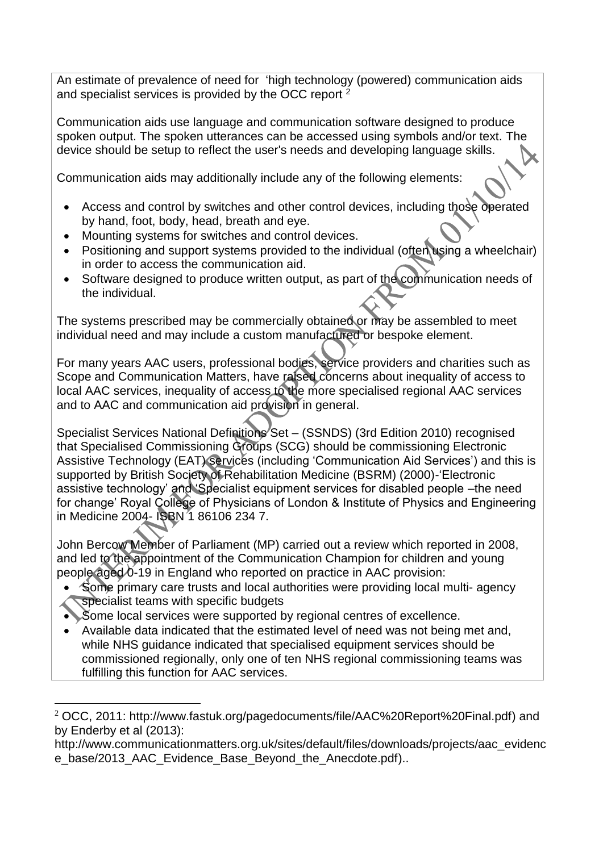An estimate of prevalence of need for 'high technology (powered) communication aids and specialist services is provided by the OCC report<sup>2</sup>

Communication aids use language and communication software designed to produce spoken output. The spoken utterances can be accessed using symbols and/or text. The device should be setup to reflect the user's needs and developing language skills.

Communication aids may additionally include any of the following elements:

- Access and control by switches and other control devices, including those operated by hand, foot, body, head, breath and eye.
- Mounting systems for switches and control devices.
- Positioning and support systems provided to the individual (often using a wheelchair) in order to access the communication aid.
- Software designed to produce written output, as part of the communication needs of the individual.

The systems prescribed may be commercially obtained or may be assembled to meet individual need and may include a custom manufactured or bespoke element.

For many years AAC users, professional bodies, service providers and charities such as Scope and Communication Matters, have raised concerns about inequality of access to local AAC services, inequality of access to the more specialised regional AAC services and to AAC and communication aid provision in general.

Specialist Services National Definitions Set - (SSNDS) (3rd Edition 2010) recognised that Specialised Commissioning Groups (SCG) should be commissioning Electronic Assistive Technology (EAT) services (including 'Communication Aid Services') and this is supported by British Society of Rehabilitation Medicine (BSRM) (2000)-'Electronic assistive technology' and 'Specialist equipment services for disabled people –the need for change' Royal College of Physicians of London & Institute of Physics and Engineering in Medicine 2004- ISBN 1 86106 234 7.

John Bercow Member of Parliament (MP) carried out a review which reported in 2008, and led to the appointment of the Communication Champion for children and young people aged 0-19 in England who reported on practice in AAC provision:

- Some primary care trusts and local authorities were providing local multi- agency specialist teams with specific budgets
- Some local services were supported by regional centres of excellence.
- Available data indicated that the estimated level of need was not being met and, while NHS guidance indicated that specialised equipment services should be commissioned regionally, only one of ten NHS regional commissioning teams was fulfilling this function for AAC services.

<sup>&</sup>lt;u>.</u> <sup>2</sup> OCC, 2011: [http://www.fastuk.org/pagedocuments/file/AAC%20Report%20Final.pdf\)](http://www.fastuk.org/pagedocuments/file/AAC%20Report%20Final.pdf) and by Enderby et al (2013):

[http://www.communicationmatters.org.uk/sites/default/files/downloads/projects/aac\\_evidenc](http://www.communicationmatters.org.uk/sites/default/files/downloads/projects/aac_evidence_base/2013_AAC_Evidence_Base_Beyond_the_Anecdote.pdf) [e\\_base/2013\\_AAC\\_Evidence\\_Base\\_Beyond\\_the\\_Anecdote.pdf\)](http://www.communicationmatters.org.uk/sites/default/files/downloads/projects/aac_evidence_base/2013_AAC_Evidence_Base_Beyond_the_Anecdote.pdf)...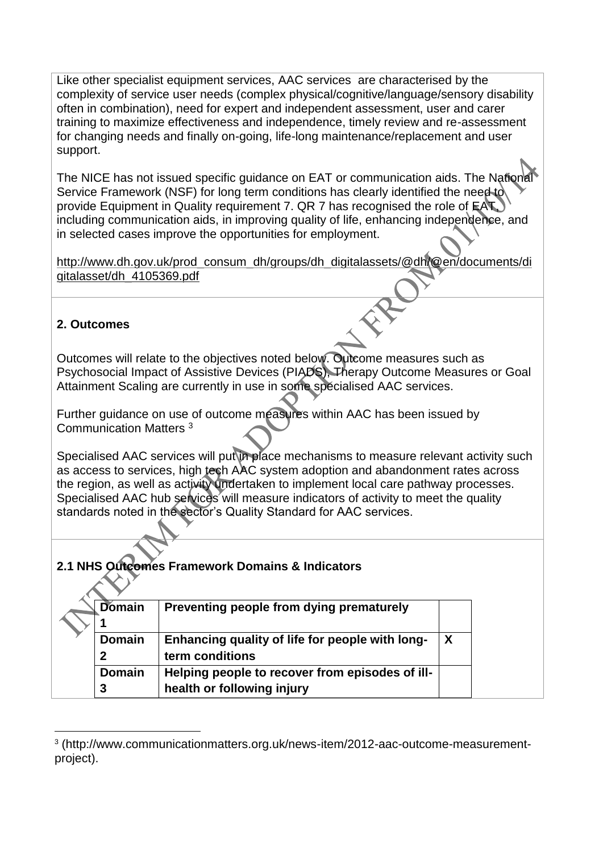Like other specialist equipment services, AAC services are characterised by the complexity of service user needs (complex physical/cognitive/language/sensory disability often in combination), need for expert and independent assessment, user and carer training to maximize effectiveness and independence, timely review and re-assessment for changing needs and finally on-going, life-long maintenance/replacement and user support.

The NICE has not issued specific guidance on EAT or communication aids. The National Service Framework (NSF) for long term conditions has clearly identified the need to provide Equipment in Quality requirement 7. QR 7 has recognised the role of EAT, including communication aids, in improving quality of life, enhancing independence, and in selected cases improve the opportunities for employment.

[http://www.dh.gov.uk/prod\\_consum\\_dh/groups/dh\\_digitalassets/@dh/@en/documents/di](http://www.dh.gov.uk/prod_consum_dh/groups/dh_digitalassets/@dh/@en/documents/digitalasset/dh_4105369.pdf) [gitalasset/dh\\_4105369.pdf](http://www.dh.gov.uk/prod_consum_dh/groups/dh_digitalassets/@dh/@en/documents/digitalasset/dh_4105369.pdf)

### **2. Outcomes**

 $\sim$   $\sqrt{ }$ 

<u>.</u>

Outcomes will relate to the objectives noted below. Outcome measures such as Psychosocial Impact of Assistive Devices (PIADS), Therapy Outcome Measures or Goal Attainment Scaling are currently in use in some specialised AAC services.

Further guidance on use of outcome measures within AAC has been issued by Communication Matters <sup>3</sup>

Specialised AAC services will put in place mechanisms to measure relevant activity such as access to services, high tech AAC system adoption and abandonment rates across the region, as well as activity undertaken to implement local care pathway processes. Specialised AAC hub services will measure indicators of activity to meet the quality standards noted in the sector's Quality Standard for AAC services.

### **2.1 NHS Outcomes Framework Domains & Indicators**

| Domain        | Preventing people from dying prematurely        |                  |
|---------------|-------------------------------------------------|------------------|
|               |                                                 |                  |
| <b>Domain</b> | Enhancing quality of life for people with long- | $\boldsymbol{X}$ |
|               | term conditions                                 |                  |
| <b>Domain</b> | Helping people to recover from episodes of ill- |                  |
| 3             | health or following injury                      |                  |

<sup>3</sup> (http://www.communicationmatters.org.uk/news-item/2012-aac-outcome-measurementproject).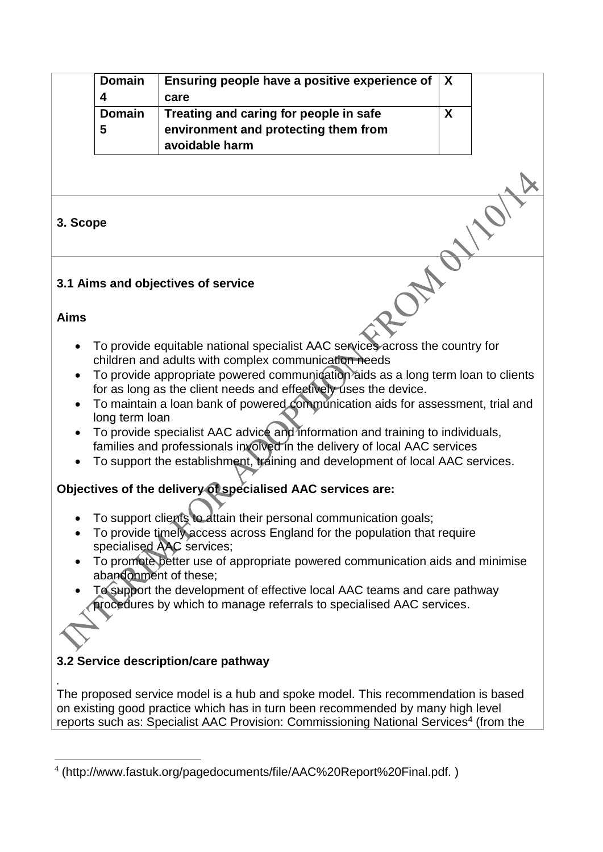|                        | <b>Domain</b><br>4 | Ensuring people have a positive experience of<br>care                                                                                                                                                                                                                                                                                                                                                                                                                                                                                                                                                                          | X            |  |
|------------------------|--------------------|--------------------------------------------------------------------------------------------------------------------------------------------------------------------------------------------------------------------------------------------------------------------------------------------------------------------------------------------------------------------------------------------------------------------------------------------------------------------------------------------------------------------------------------------------------------------------------------------------------------------------------|--------------|--|
|                        | <b>Domain</b><br>5 | Treating and caring for people in safe<br>environment and protecting them from<br>avoidable harm                                                                                                                                                                                                                                                                                                                                                                                                                                                                                                                               | $\mathbf{X}$ |  |
|                        |                    |                                                                                                                                                                                                                                                                                                                                                                                                                                                                                                                                                                                                                                |              |  |
| 3. Scope               |                    |                                                                                                                                                                                                                                                                                                                                                                                                                                                                                                                                                                                                                                |              |  |
|                        |                    | 3.1 Aims and objectives of service                                                                                                                                                                                                                                                                                                                                                                                                                                                                                                                                                                                             |              |  |
| <b>Aims</b>            |                    |                                                                                                                                                                                                                                                                                                                                                                                                                                                                                                                                                                                                                                |              |  |
| $\bullet$<br>$\bullet$ | long term loan     | To provide equitable national specialist AAC services across the country for<br>children and adults with complex communication needs<br>To provide appropriate powered communication aids as a long term loan to clients<br>for as long as the client needs and effectively uses the device.<br>To maintain a loan bank of powered communication aids for assessment, trial and<br>To provide specialist AAC advice and information and training to individuals,<br>families and professionals involved in the delivery of local AAC services<br>To support the establishment, training and development of local AAC services. |              |  |
|                        |                    | Objectives of the delivery of specialised AAC services are:                                                                                                                                                                                                                                                                                                                                                                                                                                                                                                                                                                    |              |  |
|                        |                    | To support clients to attain their personal communication goals;<br>To provide timely access across England for the population that require<br>specialised AAC services;                                                                                                                                                                                                                                                                                                                                                                                                                                                       |              |  |
|                        |                    | To promote better use of appropriate powered communication aids and minimise<br>abandonment of these;                                                                                                                                                                                                                                                                                                                                                                                                                                                                                                                          |              |  |
|                        |                    | To support the development of effective local AAC teams and care pathway<br>procedures by which to manage referrals to specialised AAC services.                                                                                                                                                                                                                                                                                                                                                                                                                                                                               |              |  |
|                        |                    | 3.2 Service description/care pathway                                                                                                                                                                                                                                                                                                                                                                                                                                                                                                                                                                                           |              |  |
|                        |                    | The proposed service model is a hub and spoke model. This recommendation is based<br>on existing good practice which has in turn been recommended by many high level<br>reports such as: Specialist AAC Provision: Commissioning National Services <sup>4</sup> (from the                                                                                                                                                                                                                                                                                                                                                      |              |  |

<sup>1</sup> 4 (http://www.fastuk.org/pagedocuments/file/AAC%20Report%20Final.pdf. )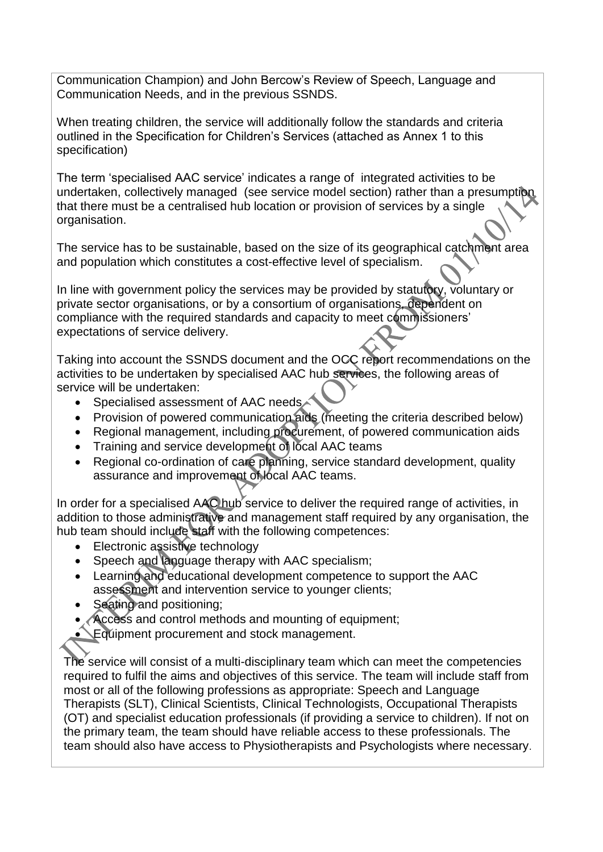Communication Champion) and John Bercow's Review of Speech, Language and Communication Needs, and in the previous SSNDS.

When treating children, the service will additionally follow the standards and criteria outlined in the Specification for Children's Services (attached as Annex 1 to this specification)

The term 'specialised AAC service' indicates a range of integrated activities to be undertaken, collectively managed (see service model section) rather than a presumption that there must be a centralised hub location or provision of services by a single organisation.

The service has to be sustainable, based on the size of its geographical catchment area and population which constitutes a cost-effective level of specialism.

In line with government policy the services may be provided by statutory, voluntary or private sector organisations, or by a consortium of organisations, dependent on compliance with the required standards and capacity to meet commissioners' expectations of service delivery.

Taking into account the SSNDS document and the OCC report recommendations on the activities to be undertaken by specialised AAC hub services, the following areas of service will be undertaken:

- Specialised assessment of AAC needs
- Provision of powered communication aids (meeting the criteria described below)
- Regional management, including procurement, of powered communication aids
- Training and service development of local AAC teams
- Regional co-ordination of care planning, service standard development, quality assurance and improvement of local AAC teams.

In order for a specialised AAC hub service to deliver the required range of activities, in addition to those administrative and management staff required by any organisation, the hub team should include staff with the following competences:

- Electronic assistive technology
- Speech and language therapy with AAC specialism;
- Learning and educational development competence to support the AAC assessment and intervention service to younger clients;
- Seating and positioning:
- Access and control methods and mounting of equipment;

Equipment procurement and stock management.

The service will consist of a multi-disciplinary team which can meet the competencies required to fulfil the aims and objectives of this service. The team will include staff from most or all of the following professions as appropriate: Speech and Language Therapists (SLT), Clinical Scientists, Clinical Technologists, Occupational Therapists (OT) and specialist education professionals (if providing a service to children). If not on the primary team, the team should have reliable access to these professionals. The team should also have access to Physiotherapists and Psychologists where necessary.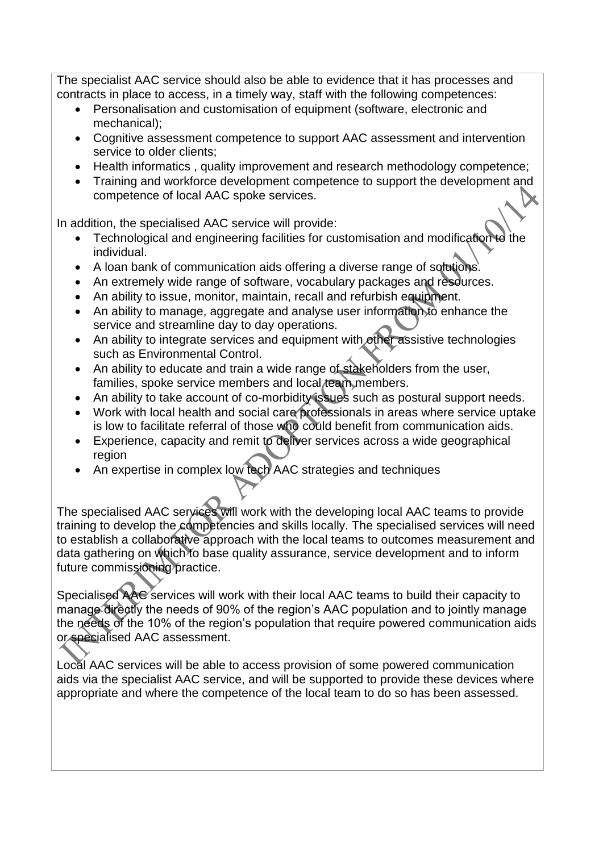The specialist AAC service should also be able to evidence that it has processes and contracts in place to access, in a timely way, staff with the following competences:

- Personalisation and customisation of equipment (software, electronic and mechanical);
- Cognitive assessment competence to support AAC assessment and intervention service to older clients;
- Health informatics, quality improvement and research methodology competence;
- Training and workforce development competence to support the development and competence of local AAC spoke services.

In addition, the specialised AAC service will provide:

- $\bullet$  Technological and engineering facilities for customisation and modification to individual.
- A loan bank of communication aids offering a diverse range of solutions.
- An extremely wide range of software, vocabulary packages and resources.
- An ability to issue, monitor, maintain, recall and refurbish equipment.
- An ability to manage, aggregate and analyse user information to enhance the service and streamline day to day operations.
- An ability to integrate services and equipment with other assistive technologies such as Environmental Control.
- An ability to educate and train a wide range of stakeholders from the user, families, spoke service members and local team members.
- An ability to take account of co-morbidity issues such as postural support needs.
- Work with local health and social care professionals in areas where service uptake is low to facilitate referral of those who could benefit from communication aids.
- Experience, capacity and remit to deliver services across a wide geographical region
- An expertise in complex low tech AAC strategies and techniques

The specialised AAC services will work with the developing local AAC teams to provide training to develop the competencies and skills locally. The specialised services will need to establish a collaborative approach with the local teams to outcomes measurement and data gathering on which to base quality assurance, service development and to inform future commissioning practice.

Specialised AAC services will work with their local AAC teams to build their capacity to manage directly the needs of 90% of the region's AAC population and to jointly manage the needs of the 10% of the region's population that require powered communication aids or specialised AAC assessment.

Local AAC services will be able to access provision of some powered communication aids via the specialist AAC service, and will be supported to provide these devices where appropriate and where the competence of the local team to do so has been assessed.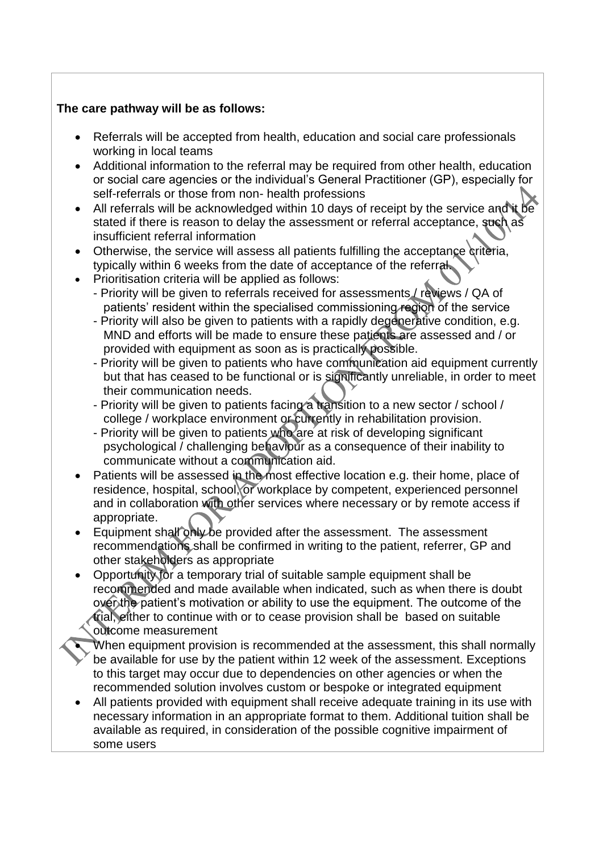### **The care pathway will be as follows:**

- Referrals will be accepted from health, education and social care professionals working in local teams
- Additional information to the referral may be required from other health, education or social care agencies or the individual's General Practitioner (GP), especially for self-referrals or those from non- health professions
- All referrals will be acknowledged within 10 days of receipt by the service and it be stated if there is reason to delay the assessment or referral acceptance, such as insufficient referral information
- Otherwise, the service will assess all patients fulfilling the acceptance criteria, typically within 6 weeks from the date of acceptance of the referral.
- Prioritisation criteria will be applied as follows:
	- Priority will be given to referrals received for assessments / reviews / QA of patients' resident within the specialised commissioning region of the service
	- Priority will also be given to patients with a rapidly degenerative condition, e.g. MND and efforts will be made to ensure these patients are assessed and / or provided with equipment as soon as is practically possible.
	- Priority will be given to patients who have communication aid equipment currently but that has ceased to be functional or is significantly unreliable, in order to meet their communication needs.
	- Priority will be given to patients facing a transition to a new sector / school / college / workplace environment or currently in rehabilitation provision.
	- Priority will be given to patients who are at risk of developing significant psychological / challenging behaviour as a consequence of their inability to communicate without a communication aid.
- Patients will be assessed in the most effective location e.g. their home, place of residence, hospital, school, or workplace by competent, experienced personnel and in collaboration with other services where necessary or by remote access if appropriate.
- Equipment shall only be provided after the assessment. The assessment recommendations shall be confirmed in writing to the patient, referrer, GP and other stakeholders as appropriate
- Opportunity for a temporary trial of suitable sample equipment shall be recommended and made available when indicated, such as when there is doubt over the patient's motivation or ability to use the equipment. The outcome of the trial, either to continue with or to cease provision shall be based on suitable outcome measurement
	- When equipment provision is recommended at the assessment, this shall normally be available for use by the patient within 12 week of the assessment. Exceptions to this target may occur due to dependencies on other agencies or when the recommended solution involves custom or bespoke or integrated equipment
- All patients provided with equipment shall receive adequate training in its use with necessary information in an appropriate format to them. Additional tuition shall be available as required, in consideration of the possible cognitive impairment of some users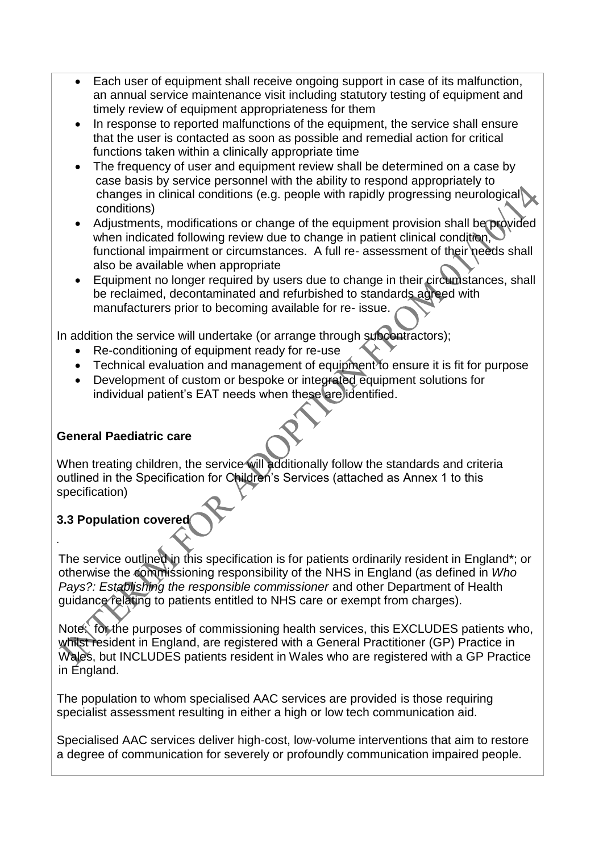- Each user of equipment shall receive ongoing support in case of its malfunction, an annual service maintenance visit including statutory testing of equipment and timely review of equipment appropriateness for them
- In response to reported malfunctions of the equipment, the service shall ensure that the user is contacted as soon as possible and remedial action for critical functions taken within a clinically appropriate time
- The frequency of user and equipment review shall be determined on a case by case basis by service personnel with the ability to respond appropriately to changes in clinical conditions (e.g. people with rapidly progressing neurological conditions)
- Adjustments, modifications or change of the equipment provision shall be provided when indicated following review due to change in patient clinical condition, functional impairment or circumstances. A full re- assessment of their needs shall also be available when appropriate
- Equipment no longer required by users due to change in their circumstances, shall be reclaimed, decontaminated and refurbished to standards agreed with manufacturers prior to becoming available for re- issue.

In addition the service will undertake (or arrange through subcontractors);

- Re-conditioning of equipment ready for re-use
- Technical evaluation and management of equipment to ensure it is fit for purpose
- Development of custom or bespoke or integrated equipment solutions for individual patient's EAT needs when these are identified.

### **General Paediatric care**

When treating children, the service will additionally follow the standards and criteria outlined in the Specification for Children's Services (attached as Annex 1 to this specification)

# **3.3 Population covered**

*.*

The service outlined in this specification is for patients ordinarily resident in England\*; or otherwise the commissioning responsibility of the NHS in England (as defined in *Who Pays?: Establishing the responsible commissioner* and other Department of Health guidance relating to patients entitled to NHS care or exempt from charges).

Note: for the purposes of commissioning health services, this EXCLUDES patients who, whilst resident in England, are registered with a General Practitioner (GP) Practice in Wales, but INCLUDES patients resident in Wales who are registered with a GP Practice in England.

The population to whom specialised AAC services are provided is those requiring specialist assessment resulting in either a high or low tech communication aid.

Specialised AAC services deliver high-cost, low-volume interventions that aim to restore a degree of communication for severely or profoundly communication impaired people.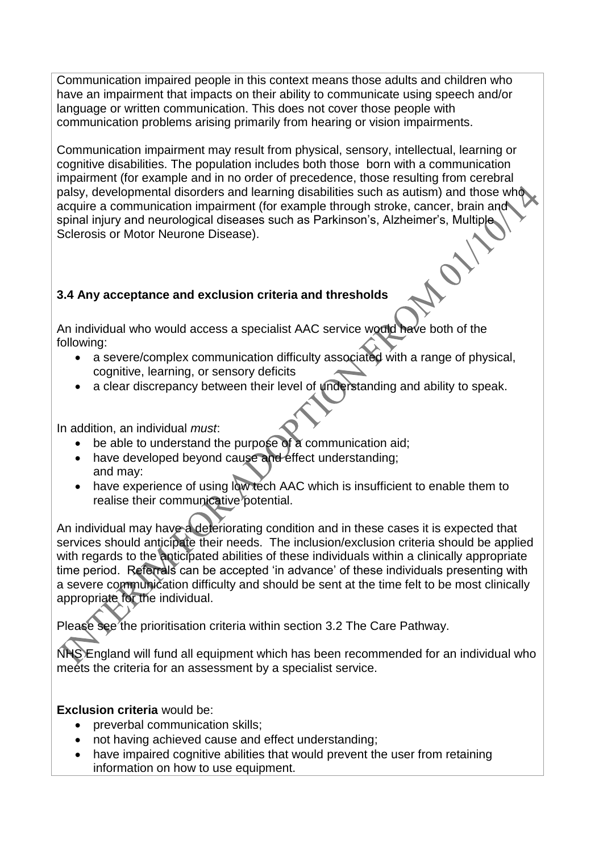Communication impaired people in this context means those adults and children who have an impairment that impacts on their ability to communicate using speech and/or language or written communication. This does not cover those people with communication problems arising primarily from hearing or vision impairments.

Communication impairment may result from physical, sensory, intellectual, learning or cognitive disabilities. The population includes both those born with a communication impairment (for example and in no order of precedence, those resulting from cerebral palsy, developmental disorders and learning disabilities such as autism) and those who acquire a communication impairment (for example through stroke, cancer, brain and spinal injury and neurological diseases such as Parkinson's, Alzheimer's, Multiple, Sclerosis or Motor Neurone Disease).

C

## **3.4 Any acceptance and exclusion criteria and thresholds**

An individual who would access a specialist AAC service would have both of the following:

- a severe/complex communication difficulty associated with a range of physical, cognitive, learning, or sensory deficits
- a clear discrepancy between their level of understanding and ability to speak.

In addition, an individual *must*:

- be able to understand the purpose of a communication aid:
- have developed beyond cause and effect understanding; and may:
- have experience of using low tech AAC which is insufficient to enable them to realise their communicative potential.

An individual may have a deteriorating condition and in these cases it is expected that services should anticipate their needs. The inclusion/exclusion criteria should be applied with regards to the anticipated abilities of these individuals within a clinically appropriate time period. Referrals can be accepted 'in advance' of these individuals presenting with a severe communication difficulty and should be sent at the time felt to be most clinically appropriate for the individual.

Please see the prioritisation criteria within section 3.2 The Care Pathway.

NHS England will fund all equipment which has been recommended for an individual who meets the criteria for an assessment by a specialist service.

**Exclusion criteria** would be:

- preverbal communication skills;
- not having achieved cause and effect understanding;
- have impaired cognitive abilities that would prevent the user from retaining information on how to use equipment.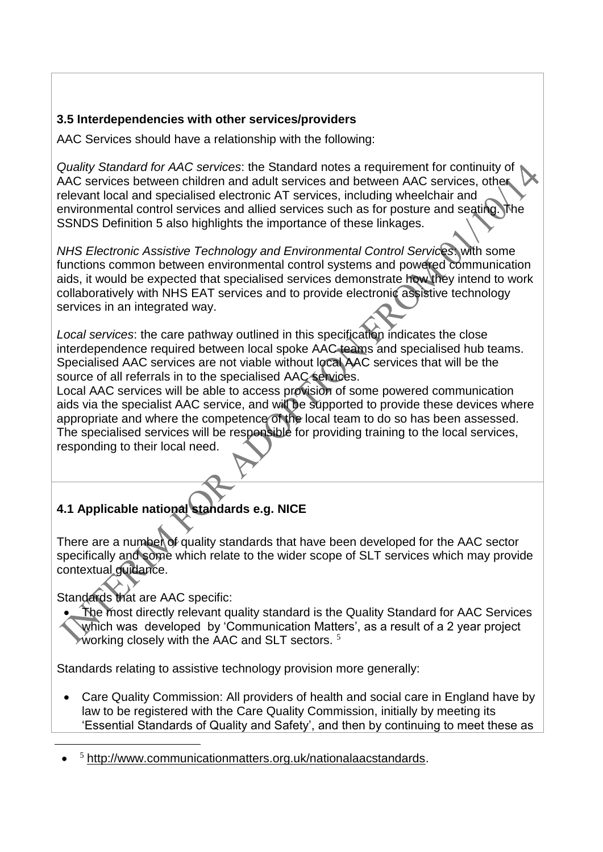## **3.5 Interdependencies with other services/providers**

AAC Services should have a relationship with the following:

*Quality Standard for AAC services*: the Standard notes a requirement for continuity of AAC services between children and adult services and between AAC services, other relevant local and specialised electronic AT services, including wheelchair and environmental control services and allied services such as for posture and seating. The SSNDS Definition 5 also highlights the importance of these linkages.

*NHS Electronic Assistive Technology and Environmental Control Services*: with some functions common between environmental control systems and powered communication aids, it would be expected that specialised services demonstrate how they intend to work collaboratively with NHS EAT services and to provide electronic assistive technology services in an integrated way.

*Local services*: the care pathway outlined in this specification indicates the close interdependence required between local spoke AAC teams and specialised hub teams. Specialised AAC services are not viable without local AAC services that will be the source of all referrals in to the specialised AAC services.

Local AAC services will be able to access provision of some powered communication aids via the specialist AAC service, and will be supported to provide these devices where appropriate and where the competence of the local team to do so has been assessed. The specialised services will be responsible for providing training to the local services, responding to their local need.

# **4.1 Applicable national standards e.g. NICE**

There are a number of quality standards that have been developed for the AAC sector specifically and some which relate to the wider scope of SLT services which may provide contextual guidance.

Standards that are AAC specific:

1

 The most directly relevant quality standard is the Quality Standard for AAC Services which was developed by Communication Matters', as a result of a 2 year project working closely with the AAC and SLT sectors.  $5$ 

Standards relating to assistive technology provision more generally:

 Care Quality Commission: All providers of health and social care in England have by law to be registered with the Care Quality Commission, initially by meeting its 'Essential Standards of Quality and Safety', and then by continuing to meet these as

 $\bullet$ <sup>5</sup> http://www.communicationmatters.org.uk/nationalaacstandards.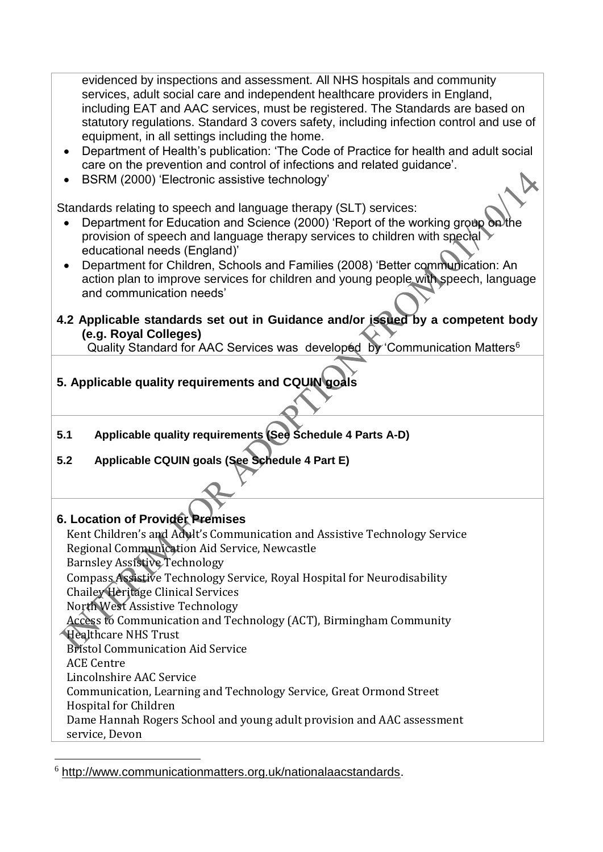evidenced by inspections and assessment. All NHS hospitals and community services, adult social care and independent healthcare providers in England, including EAT and AAC services, must be registered. The Standards are based on statutory regulations. Standard 3 covers safety, including infection control and use of equipment, in all settings including the home.

- Department of Health's publication: 'The Code of Practice for health and adult social care on the prevention and control of infections and related guidance'.
- BSRM (2000) 'Electronic assistive technology'

Standards relating to speech and language therapy (SLT) services:

- Department for Education and Science (2000) 'Report of the working group on the provision of speech and language therapy services to children with special educational needs (England)'
- Department for Children, Schools and Families (2008) 'Better communication: An action plan to improve services for children and young people with speech, language and communication needs'
- **4.2 Applicable standards set out in Guidance and/or issued by a competent body (e.g. Royal Colleges)**

Quality Standard for AAC Services was developed by Communication Matters<sup>6</sup>

# **5. Applicable quality requirements and CQUIN goals**

- **5.1 Applicable quality requirements (See Schedule 4 Parts A-D)**
- **5.2 Applicable CQUIN goals (See Schedule 4 Part E)**

### **6. Location of Provider Premises**

1

Kent Children's and Adult's Communication and Assistive Technology Service Regional Communication Aid Service, Newcastle Barnsley Assistive Technology Compass Assistive Technology Service, Royal Hospital for Neurodisability Chailey Heritage Clinical Services North West Assistive Technology Access to Communication and Technology (ACT), Birmingham Community Healthcare NHS Trust Bristol Communication Aid Service ACE Centre Lincolnshire AAC Service Communication, Learning and Technology Service, Great Ormond Street Hospital for Children Dame Hannah Rogers School and young adult provision and AAC assessment service, Devon

 $6$  http://www.communicationmatters.org.uk/nationalaacstandards.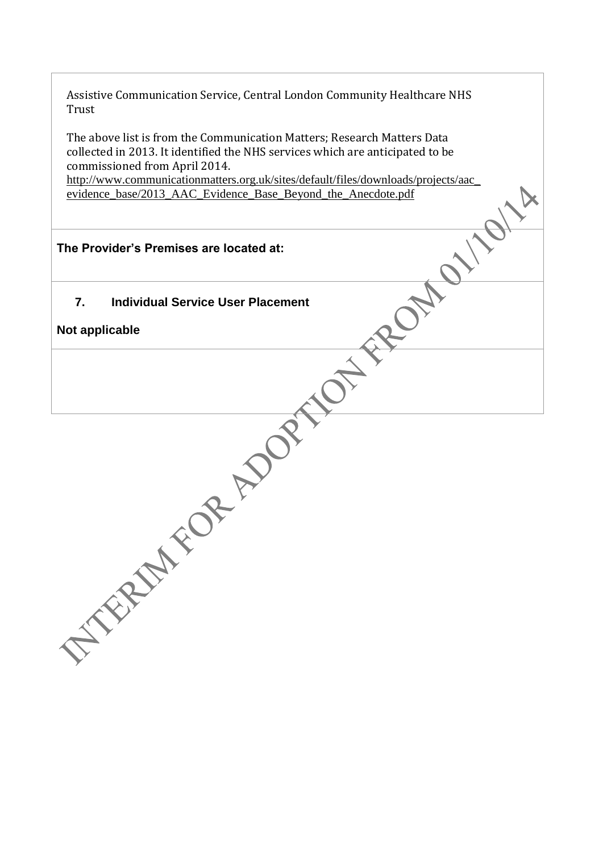Assistive Communication Service, Central London Community Healthcare NHS Trust

The above list is from the Communication Matters; Research Matters Data collected in 2013. It identified the NHS services which are anticipated to be commissioned from April 2014.

[http://www.communicationmatters.org.uk/sites/default/files/downloads/projects/aac\\_](http://www.communicationmatters.org.uk/sites/default/files/downloads/projects/aac_evidence_base/2013_AAC_Evidence_Base_Beyond_the_Anecdote.pdf) [evidence\\_base/2013\\_AAC\\_Evidence\\_Base\\_Beyond\\_the\\_Anecdote.pdf](http://www.communicationmatters.org.uk/sites/default/files/downloads/projects/aac_evidence_base/2013_AAC_Evidence_Base_Beyond_the_Anecdote.pdf)

## **The Provider's Premises are located at:**

**7. Individual Service User Placement**

**Not applicable**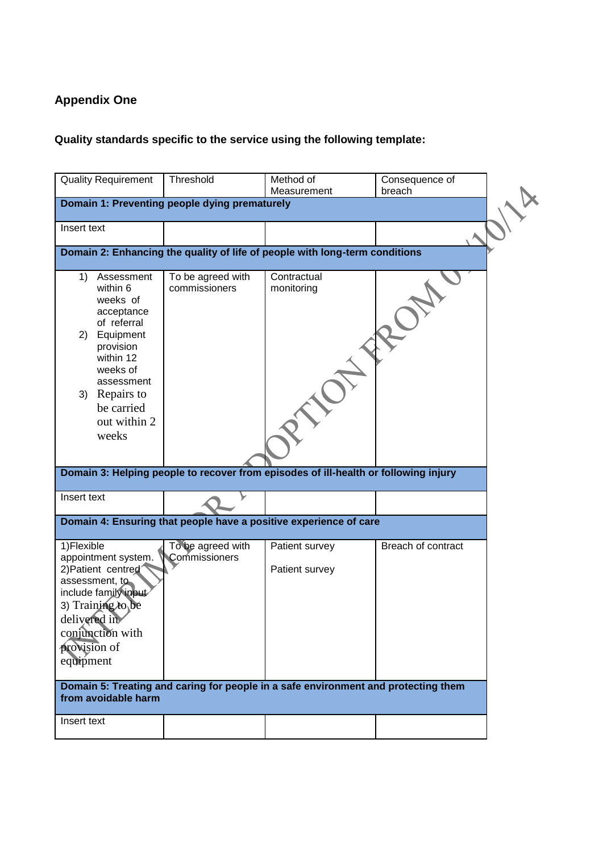# **Appendix One**

# **Quality standards specific to the service using the following template:**

| <b>Quality Requirement</b>                                                                                                                                                                           | Threshold                          | Method of<br>Measurement                                                                                         | Consequence of<br>breach |  |  |  |  |  |  |
|------------------------------------------------------------------------------------------------------------------------------------------------------------------------------------------------------|------------------------------------|------------------------------------------------------------------------------------------------------------------|--------------------------|--|--|--|--|--|--|
| Domain 1: Preventing people dying prematurely                                                                                                                                                        |                                    |                                                                                                                  |                          |  |  |  |  |  |  |
| Insert text                                                                                                                                                                                          |                                    |                                                                                                                  |                          |  |  |  |  |  |  |
| Domain 2: Enhancing the quality of life of people with long-term conditions                                                                                                                          |                                    |                                                                                                                  |                          |  |  |  |  |  |  |
| Assessment<br>1)<br>within 6<br>weeks of<br>acceptance<br>of referral<br>Equipment<br>2)<br>provision<br>within 12<br>weeks of<br>assessment<br>3) Repairs to<br>be carried<br>out within 2<br>weeks | To be agreed with<br>commissioners | Contractual<br>monitoring<br>Domain 3: Helping people to recover from episodes of ill-health or following injury |                          |  |  |  |  |  |  |
| Insert text                                                                                                                                                                                          |                                    |                                                                                                                  |                          |  |  |  |  |  |  |
|                                                                                                                                                                                                      |                                    |                                                                                                                  |                          |  |  |  |  |  |  |
|                                                                                                                                                                                                      |                                    | Domain 4: Ensuring that people have a positive experience of care                                                |                          |  |  |  |  |  |  |
| 1) Flexible<br>appointment system.<br>2) Patient centred<br>assessment, to<br>include family input<br>3) Training to be<br>delivered in<br>conjunction with<br>provision of<br>equipment             | To be agreed with<br>Commissioners | Patient survey<br>Patient survey                                                                                 | Breach of contract       |  |  |  |  |  |  |
| Domain 5: Treating and caring for people in a safe environment and protecting them<br>from avoidable harm                                                                                            |                                    |                                                                                                                  |                          |  |  |  |  |  |  |
| Insert text                                                                                                                                                                                          |                                    |                                                                                                                  |                          |  |  |  |  |  |  |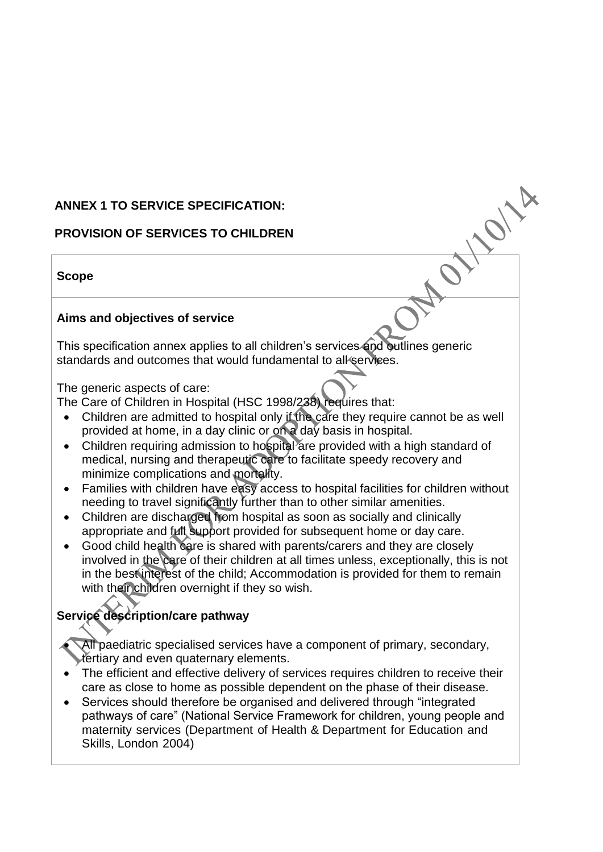## **ANNEX 1 TO SERVICE SPECIFICATION:**

### **PROVISION OF SERVICES TO CHILDREN**

### **Scope**

### **Aims and objectives of service**

This specification annex applies to all children's services and outlines generic standards and outcomes that would fundamental to all services.

The generic aspects of care:

The Care of Children in Hospital (HSC 1998/238) requires that:

 Children are admitted to hospital only if the care they require cannot be as well provided at home, in a day clinic or on a day basis in hospital.

WONA.

 $\overline{O}$ 

- Children requiring admission to hospital are provided with a high standard of medical, nursing and therapeutic care to facilitate speedy recovery and minimize complications and mortality.
- Families with children have easy access to hospital facilities for children without needing to travel significantly further than to other similar amenities.
- Children are discharged from hospital as soon as socially and clinically appropriate and full support provided for subsequent home or day care.
- Good child health care is shared with parents/carers and they are closely involved in the care of their children at all times unless, exceptionally, this is not in the best interest of the child; Accommodation is provided for them to remain with their children overnight if they so wish.

# **Service description/care pathway**

 All paediatric specialised services have a component of primary, secondary, tertiary and even quaternary elements.

- The efficient and effective delivery of services requires children to receive their care as close to home as possible dependent on the phase of their disease.
- Services should therefore be organised and delivered through "integrated pathways of care" (National Service Framework for children, young people and maternity services (Department of Health & Department for Education and Skills, London 2004)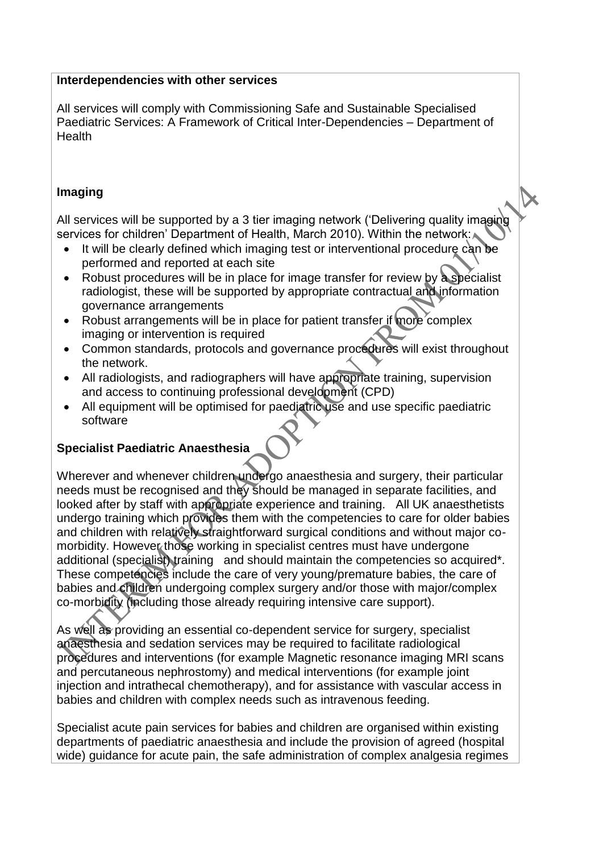### **Interdependencies with other services**

All services will comply with Commissioning Safe and Sustainable Specialised Paediatric Services: A Framework of Critical Inter-Dependencies – Department of **Health** 

### **Imaging**

All services will be supported by a 3 tier imaging network ('Delivering quality imaging services for children' Department of Health, March 2010). Within the network:

- It will be clearly defined which imaging test or interventional procedure can be performed and reported at each site
- Robust procedures will be in place for image transfer for review by a specialist radiologist, these will be supported by appropriate contractual and information governance arrangements
- Robust arrangements will be in place for patient transfer if more complex imaging or intervention is required
- Common standards, protocols and governance procedures will exist throughout the network.
- All radiologists, and radiographers will have appropriate training, supervision and access to continuing professional development (CPD)
- All equipment will be optimised for paediatric use and use specific paediatric software

# **Specialist Paediatric Anaesthesia**

Wherever and whenever children undergo anaesthesia and surgery, their particular needs must be recognised and they should be managed in separate facilities, and looked after by staff with appropriate experience and training. All UK anaesthetists undergo training which provides them with the competencies to care for older babies and children with relatively straightforward surgical conditions and without major comorbidity. However those working in specialist centres must have undergone additional (specialist) training and should maintain the competencies so acquired\*. These competencies include the care of very young/premature babies, the care of babies and children undergoing complex surgery and/or those with major/complex co-morbidity (including those already requiring intensive care support).

As well as providing an essential co-dependent service for surgery, specialist anaesthesia and sedation services may be required to facilitate radiological procedures and interventions (for example Magnetic resonance imaging MRI scans and percutaneous nephrostomy) and medical interventions (for example joint injection and intrathecal chemotherapy), and for assistance with vascular access in babies and children with complex needs such as intravenous feeding.

Specialist acute pain services for babies and children are organised within existing departments of paediatric anaesthesia and include the provision of agreed (hospital wide) guidance for acute pain, the safe administration of complex analgesia regimes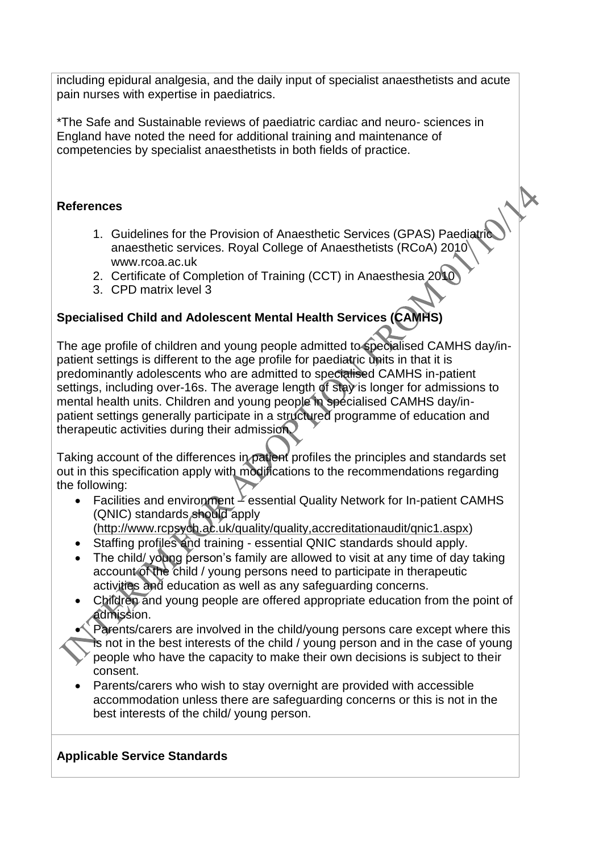including epidural analgesia, and the daily input of specialist anaesthetists and acute pain nurses with expertise in paediatrics.

\*The Safe and Sustainable reviews of paediatric cardiac and neuro- sciences in England have noted the need for additional training and maintenance of competencies by specialist anaesthetists in both fields of practice.

### **References**

- 1. Guidelines for the Provision of Anaesthetic Services (GPAS) Paediatric anaesthetic services. Royal College of Anaesthetists (RCoA) 2010 [www.rcoa.ac.uk](http://www.rcoa.ac.uk/)
- 2. Certificate of Completion of Training (CCT) in Anaesthesia 2010
- 3. CPD matrix level 3

# **Specialised Child and Adolescent Mental Health Services (CAMHS)**

The age profile of children and young people admitted to specialised CAMHS day/inpatient settings is different to the age profile for paediatric units in that it is predominantly adolescents who are admitted to specialised CAMHS in-patient settings, including over-16s. The average length of stay is longer for admissions to mental health units. Children and young people in specialised CAMHS day/inpatient settings generally participate in a structured programme of education and therapeutic activities during their admission.

Taking account of the differences in patient profiles the principles and standards set out in this specification apply with modifications to the recommendations regarding the following:

Facilities and environment  $\geq$  essential Quality Network for In-patient CAMHS (QNIC) standards should apply [\(http://www.rcpsych.ac.uk/quality/quality,accreditationaudit/qnic1.aspx\)](http://www.rcpsych.ac.uk/quality/quality,accreditationaudit/qnic1.aspx)

Staffing profiles and training - essential QNIC standards should apply.

- The child/ young person's family are allowed to visit at any time of day taking account of the child / young persons need to participate in therapeutic activities and education as well as any safeguarding concerns.
- Children and young people are offered appropriate education from the point of admission.
- Parents/carers are involved in the child/young persons care except where this is not in the best interests of the child / young person and in the case of young people who have the capacity to make their own decisions is subject to their consent.
- Parents/carers who wish to stay overnight are provided with accessible accommodation unless there are safeguarding concerns or this is not in the best interests of the child/ young person.

### **Applicable Service Standards**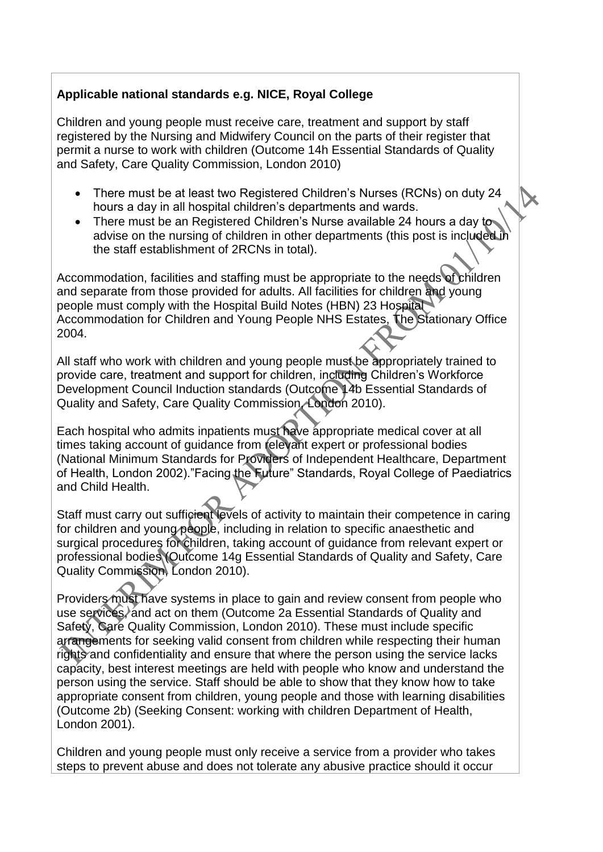## **Applicable national standards e.g. NICE, Royal College**

Children and young people must receive care, treatment and support by staff registered by the Nursing and Midwifery Council on the parts of their register that permit a nurse to work with children (Outcome 14h Essential Standards of Quality and Safety, Care Quality Commission, London 2010)

- There must be at least two Registered Children's Nurses (RCNs) on duty 24 hours a day in all hospital children's departments and wards.
- There must be an Registered Children's Nurse available 24 hours a day to advise on the nursing of children in other departments (this post is included in the staff establishment of 2RCNs in total).

Accommodation, facilities and staffing must be appropriate to the needs of children and separate from those provided for adults. All facilities for children and young people must comply with the Hospital Build Notes (HBN) 23 Hospital Accommodation for Children and Young People NHS Estates, The Stationary Office 2004.

All staff who work with children and young people must be appropriately trained to provide care, treatment and support for children, including Children's Workforce Development Council Induction standards (Outcome 14b Essential Standards of Quality and Safety, Care Quality Commission, London 2010).

Each hospital who admits inpatients must have appropriate medical cover at all times taking account of guidance from relevant expert or professional bodies (National Minimum Standards for Providers of Independent Healthcare, Department of Health, London 2002)."Facing the Future" Standards, Royal College of Paediatrics and Child Health.

Staff must carry out sufficient levels of activity to maintain their competence in caring for children and young people, including in relation to specific anaesthetic and surgical procedures for children, taking account of guidance from relevant expert or professional bodies (Outcome 14g Essential Standards of Quality and Safety, Care Quality Commission, London 2010).

Providers must have systems in place to gain and review consent from people who use services, and act on them (Outcome 2a Essential Standards of Quality and Safety, Care Quality Commission, London 2010). These must include specific arrangements for seeking valid consent from children while respecting their human rights and confidentiality and ensure that where the person using the service lacks capacity, best interest meetings are held with people who know and understand the person using the service. Staff should be able to show that they know how to take appropriate consent from children, young people and those with learning disabilities (Outcome 2b) (Seeking Consent: working with children Department of Health, London 2001).

Children and young people must only receive a service from a provider who takes steps to prevent abuse and does not tolerate any abusive practice should it occur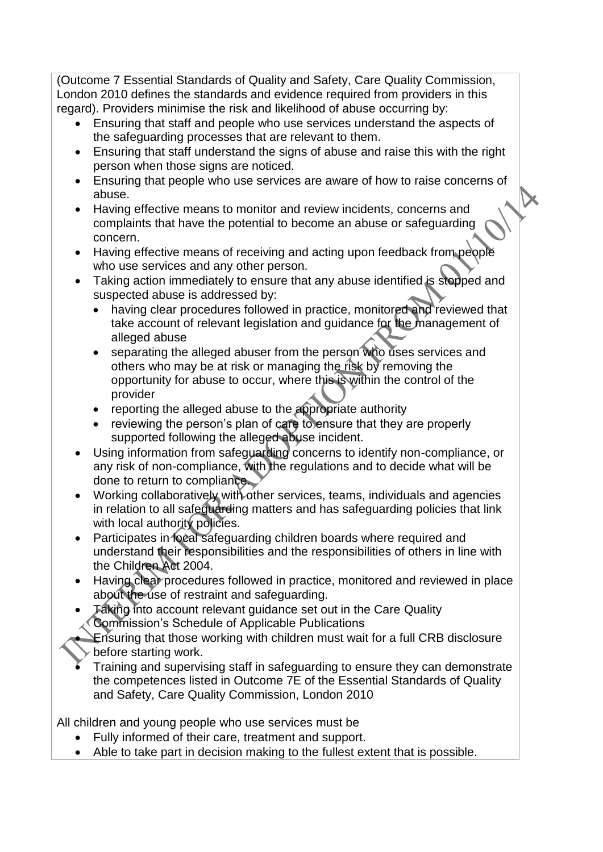(Outcome 7 Essential Standards of Quality and Safety, Care Quality Commission, London 2010 defines the standards and evidence required from providers in this regard). Providers minimise the risk and likelihood of abuse occurring by:

- Ensuring that staff and people who use services understand the aspects of the safeguarding processes that are relevant to them.
- Ensuring that staff understand the signs of abuse and raise this with the right person when those signs are noticed.
- Ensuring that people who use services are aware of how to raise concerns of abuse.
- Having effective means to monitor and review incidents, concerns and complaints that have the potential to become an abuse or safeguarding concern.
- Having effective means of receiving and acting upon feedback from people who use services and any other person.
- Taking action immediately to ensure that any abuse identified is stopped and suspected abuse is addressed by:
	- having clear procedures followed in practice, monitored and reviewed that take account of relevant legislation and guidance for the management of alleged abuse
	- separating the alleged abuser from the person who uses services and others who may be at risk or managing the risk by removing the opportunity for abuse to occur, where this is within the control of the provider
	- reporting the alleged abuse to the appropriate authority
	- reviewing the person's plan of care to ensure that they are properly supported following the alleged abuse incident.
- Using information from safeguarding concerns to identify non-compliance, or any risk of non-compliance, with the regulations and to decide what will be done to return to compliance.
- Working collaboratively with other services, teams, individuals and agencies in relation to all safeguarding matters and has safeguarding policies that link with local authority policies.
- Participates in local safeguarding children boards where required and understand their responsibilities and the responsibilities of others in line with the Children Act 2004.
- Having clear procedures followed in practice, monitored and reviewed in place about the use of restraint and safeguarding.
- Taking into account relevant guidance set out in the Care Quality Commission's Schedule of Applicable Publications
	- Ensuring that those working with children must wait for a full CRB disclosure before starting work.
- Training and supervising staff in safeguarding to ensure they can demonstrate the competences listed in Outcome 7E of the Essential Standards of Quality and Safety, Care Quality Commission, London 2010

All children and young people who use services must be

- Fully informed of their care, treatment and support.
- Able to take part in decision making to the fullest extent that is possible.